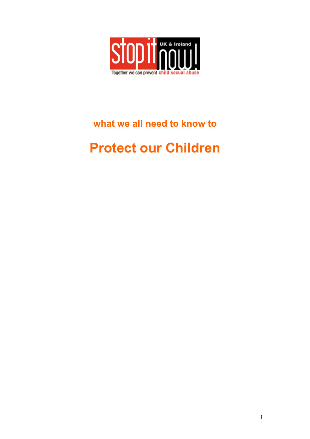

# **what we all need to know to**

# **Protect our Children**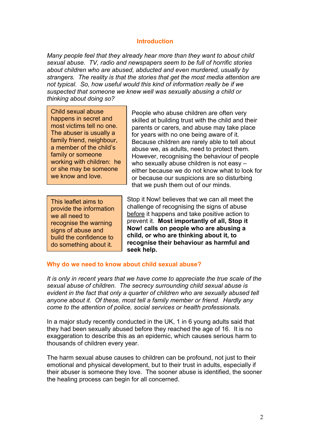#### **Introduction**

*Many people feel that they already hear more than they want to about child sexual abuse. TV, radio and newspapers seem to be full of horrific stories about children who are abused, abducted and even murdered, usually by strangers. The reality is that the stories that get the most media attention are not typical. So, how useful would this kind of information really be if we suspected that someone we knew well was sexually abusing a child or thinking about doing so?* 

Child sexual abuse happens in secret and most victims tell no one. The abuser is usually a family friend, neighbour, a member of the child's family or someone working with children: he or she may be someone we know and love.

This leaflet aims to provide the information we all need to recognise the warning signs of abuse and build the confiden ce to do something about it.

People who abuse children are often very skilled at building trust with the child and their parents or carers, and abuse may take place for years with no one being aware of it. Because children are rarely able to tell about abuse we, as adults, need to protect them. However, recognising the behaviour of people who sexually abuse children is not easy – either because we do not know what to look for or because our suspicions are so disturbing that we push them out of our minds.

Stop it Now! believes that we can all meet the challenge of recognising the signs of abuse before it happens and take positive action to prevent it. **Most importantly of all, Stop it Now! calls on people who are abusing a child, or who are thinking about it, to recognise their behaviour as harmful and seek help.** 

#### **Why do we need to know about child sexual abuse?**

*It is only in recent years that we have come to appreciate the true scale of the sexual abuse of children. The secrecy surrounding child sexual abuse is evident in the fact that only a quarter of children who are sexually abused tell anyone about it. Of these, most tell a family member or friend. Hardly any come to the attention of police, social services or health professionals.* 

In a major study recently conducted in the UK, 1 in 6 young adults said that they had been sexually abused before they reached the age of 16. It is no exaggeration to describe this as an epidemic, which causes serious harm to thousands of children every year.

The harm sexual abuse causes to children can be profound, not just to their emotional and physical development, but to their trust in adults, especially if their abuser is someone they love. The sooner abuse is identified, the sooner the healing process can begin for all concerned.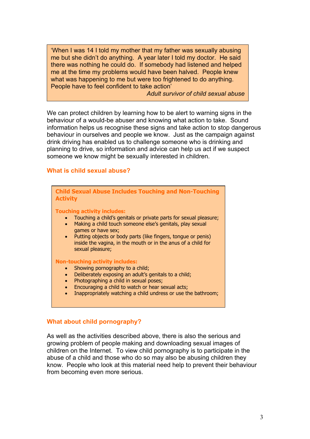'When I was 14 I told my mother that my father was sexually abusing me but she didn't do anything. A year later I told my doctor. He said there was nothing he could do. If somebody had listened and helped me at the time my problems would have been halved. People knew what was happening to me but were too frightened to do anything. People have to feel confident to take action'

*Adult survivor of child sexual abuse*

We can protect children by learning how to be alert to warning signs in the behaviour of a would-be abuser and knowing what action to take. Sound information helps us recognise these signs and take action to stop dangerous behaviour in ourselves and people we know. Just as the campaign against drink driving has enabled us to challenge someone who is drinking and planning to drive, so information and advice can help us act if we suspect someone we know might be sexually interested in children.

#### **What is child sexual abuse?**

| <b>Child Sexual Abuse Includes Touching and Non-Touching</b><br><b>Activity</b>                                                                                                                                                                                                                                                                                                         |
|-----------------------------------------------------------------------------------------------------------------------------------------------------------------------------------------------------------------------------------------------------------------------------------------------------------------------------------------------------------------------------------------|
| <b>Touching activity includes:</b><br>Touching a child's genitals or private parts for sexual pleasure;<br>$\bullet$<br>Making a child touch someone else's genitals, play sexual<br>$\bullet$<br>games or have sex;<br>Putting objects or body parts (like fingers, tongue or penis)<br>$\bullet$<br>inside the vagina, in the mouth or in the anus of a child for<br>sexual pleasure; |
| <b>Non-touching activity includes:</b>                                                                                                                                                                                                                                                                                                                                                  |
| Showing pornography to a child;<br>$\bullet$                                                                                                                                                                                                                                                                                                                                            |
| Deliberately exposing an adult's genitals to a child;<br>$\bullet$                                                                                                                                                                                                                                                                                                                      |
| Photographing a child in sexual poses;<br>$\bullet$                                                                                                                                                                                                                                                                                                                                     |

- Encouraging a child to watch or hear sexual acts;
- Inappropriately watching a child undress or use the bathroom;

#### **What about child pornography?**

As well as the activities described above, there is also the serious and growing problem of people making and downloading sexual images of children on the Internet. To view child pornography is to participate in the abuse of a child and those who do so may also be abusing children they know. People who look at this material need help to prevent their behaviour from becoming even more serious.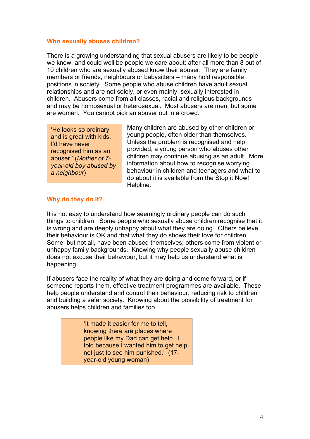#### **Who sexually abuses children?**

There is a growing understanding that sexual abusers are likely to be people we know, and could well be people we care about; after all more than 8 out of 10 children who are sexually abused know their abuser. They are family members or friends, neighbours or babysitters – many hold responsible positions in society. Some people who abuse children have adult sexual relationships and are not solely, or even mainly, sexually interested in children. Abusers come from all classes, racial and religious backgrounds and may be homosexual or heterosexual. Most abusers are men, but some are women. You cannot pick an abuser out in a crowd.

'He looks so ordinary and is great with kids. I'd have never recognised him as an abuser.' (*Mother of 7 year-old boy abused by a neighbour*)

Many children are abused by other children or young people, often older than themselves. Unless the problem is recognised and help provided, a young person who abuses other children may continue abusing as an adult. More information about how to recognise worrying behaviour in children and teenagers and what to do about it is available from the Stop it Now! Helpline.

#### **Why do they do it?**

It is not easy to understand how seemingly ordinary people can do such things to children. Some people who sexually abuse children recognise that it is wrong and are deeply unhappy about what they are doing. Others believe their behaviour is OK and that what they do shows their love for children. Some, but not all, have been abused themselves; others come from violent or unhappy family backgrounds. Knowing why people sexually abuse children does not excuse their behaviour, but it may help us understand what is happening.

If abusers face the reality of what they are doing and come forward, or if someone reports them, effective treatment programmes are available. These help people understand and control their behaviour, reducing risk to children and building a safer society. Knowing about the possibility of treatment for abusers helps children and families too.

> 'It made it easier for me to tell, knowing there are places where people like my Dad can get help. I told because I wanted him to get help not just to see him punished.' (17 year-old young woman)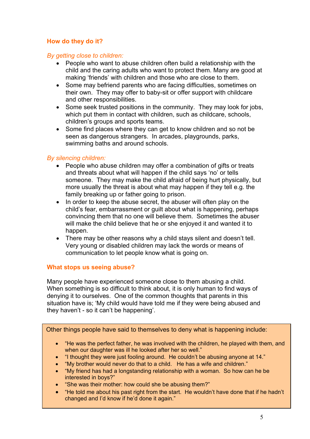#### **How do they do it?**

#### *By getting close to children:*

- People who want to abuse children often build a relationship with the child and the caring adults who want to protect them. Many are good at making 'friends' with children and those who are close to them.
- Some may befriend parents who are facing difficulties, sometimes on their own. They may offer to baby-sit or offer support with childcare and other responsibilities.
- Some seek trusted positions in the community. They may look for jobs, which put them in contact with children, such as childcare, schools, children's groups and sports teams.
- Some find places where they can get to know children and so not be seen as dangerous strangers. In arcades, playgrounds, parks, swimming baths and around schools.

#### *By silencing children:*

- People who abuse children may offer a combination of gifts or treats and threats about what will happen if the child says 'no' or tells someone. They may make the child afraid of being hurt physically, but more usually the threat is about what may happen if they tell e.g. the family breaking up or father going to prison.
- In order to keep the abuse secret, the abuser will often play on the child's fear, embarrassment or guilt about what is happening, perhaps convincing them that no one will believe them. Sometimes the abuser will make the child believe that he or she enjoyed it and wanted it to happen.
- There may be other reasons why a child stays silent and doesn't tell. Very young or disabled children may lack the words or means of communication to let people know what is going on.

#### **What stops us seeing abuse?**

Many people have experienced someone close to them abusing a child. When something is so difficult to think about, it is only human to find ways of denying it to ourselves. One of the common thoughts that parents in this situation have is; 'My child would have told me if they were being abused and they haven't - so it can't be happening'.

Other things people have said to themselves to deny what is happening include:

- "He was the perfect father, he was involved with the children, he played with them, and when our daughter was ill he looked after her so well."
- "I thought they were just fooling around. He couldn't be abusing anyone at 14."
- "My brother would never do that to a child. He has a wife and children."
- "My friend has had a longstanding relationship with a woman. So how can he be interested in boys?"
- "She was their mother: how could she be abusing them?"
- "He told me about his past right from the start. He wouldn't have done that if he hadn't changed and I'd know if he'd done it again."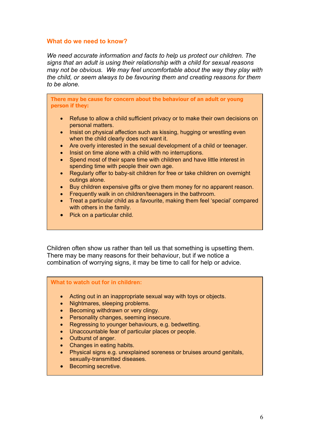#### **What do we need to know?**

*We need accurate information and facts to help us protect our children. The signs that an adult is using their relationship with a child for sexual reasons may not be obvious. We may feel uncomfortable about the way they play with the child, or seem always to be favouring them and creating reasons for them to be alone.* 

**There may be cause for concern about the behaviour of an adult or young person if they:** 

- Refuse to allow a child sufficient privacy or to make their own decisions on personal matters.
- Insist on physical affection such as kissing, hugging or wrestling even when the child clearly does not want it.
- Are overly interested in the sexual development of a child or teenager.
- Insist on time alone with a child with no interruptions.
- Spend most of their spare time with children and have little interest in spending time with people their own age.
- Regularly offer to baby-sit children for free or take children on overnight outings alone.
- Buy children expensive gifts or give them money for no apparent reason.
- Frequently walk in on children/teenagers in the bathroom.
- Treat a particular child as a favourite, making them feel 'special' compared with others in the family.
- Pick on a particular child.

Children often show us rather than tell us that something is upsetting them. There may be many reasons for their behaviour, but if we notice a combination of worrying signs, it may be time to call for help or advice.

#### **What to watch out for in children:**

- Acting out in an inappropriate sexual way with toys or objects.
- Nightmares, sleeping problems.
- Becoming withdrawn or very clingy.
- Personality changes, seeming insecure.
- Regressing to younger behaviours, e.g. bedwetting.
- Unaccountable fear of particular places or people.
- Outburst of anger.
- Changes in eating habits.
- Physical signs e.g. unexplained soreness or bruises around genitals, sexually-transmitted diseases.
- Becoming secretive.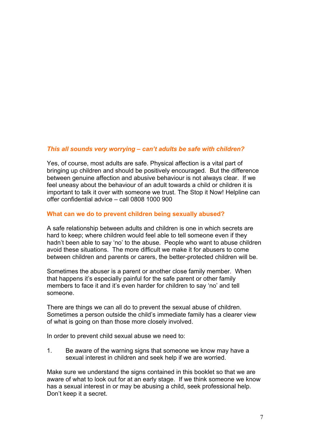#### *This all sounds very worrying – can't adults be safe with children?*

Yes, of course, most adults are safe. Physical affection is a vital part of bringing up children and should be positively encouraged. But the difference between genuine affection and abusive behaviour is not always clear. If we feel uneasy about the behaviour of an adult towards a child or children it is important to talk it over with someone we trust. The Stop it Now! Helpline can offer confidential advice – call 0808 1000 900

#### **What can we do to prevent children being sexually abused?**

A safe relationship between adults and children is one in which secrets are hard to keep; where children would feel able to tell someone even if they hadn't been able to say 'no' to the abuse. People who want to abuse children avoid these situations. The more difficult we make it for abusers to come between children and parents or carers, the better-protected children will be.

Sometimes the abuser is a parent or another close family member. When that happens it's especially painful for the safe parent or other family members to face it and it's even harder for children to say 'no' and tell someone.

There are things we can all do to prevent the sexual abuse of children. Sometimes a person outside the child's immediate family has a clearer view of what is going on than those more closely involved.

In order to prevent child sexual abuse we need to:

1. Be aware of the warning signs that someone we know may have a sexual interest in children and seek help if we are worried.

Make sure we understand the signs contained in this booklet so that we are aware of what to look out for at an early stage. If we think someone we know has a sexual interest in or may be abusing a child, seek professional help. Don't keep it a secret.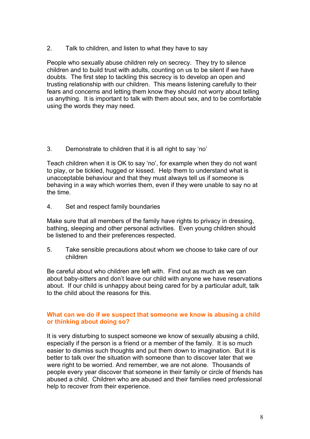2. Talk to children, and listen to what they have to say

People who sexually abuse children rely on secrecy. They try to silence children and to build trust with adults, counting on us to be silent if we have doubts. The first step to tackling this secrecy is to develop an open and trusting relationship with our children. This means listening carefully to their fears and concerns and letting them know they should not worry about telling us anything. It is important to talk with them about sex, and to be comfortable using the words they may need.

3. Demonstrate to children that it is all right to say 'no'

Teach children when it is OK to say 'no', for example when they do not want to play, or be tickled, hugged or kissed. Help them to understand what is unacceptable behaviour and that they must always tell us if someone is behaving in a way which worries them, even if they were unable to say no at the time.

4. Set and respect family boundaries

Make sure that all members of the family have rights to privacy in dressing, bathing, sleeping and other personal activities. Even young children should be listened to and their preferences respected.

5. Take sensible precautions about whom we choose to take care of our children

Be careful about who children are left with. Find out as much as we can about baby-sitters and don't leave our child with anyone we have reservations about. If our child is unhappy about being cared for by a particular adult, talk to the child about the reasons for this.

#### **What can we do if we suspect that someone we know is abusing a child or thinking about doing so?**

It is very disturbing to suspect someone we know of sexually abusing a child, especially if the person is a friend or a member of the family. It is so much easier to dismiss such thoughts and put them down to imagination. But it is better to talk over the situation with someone than to discover later that we were right to be worried. And remember, we are not alone. Thousands of people every year discover that someone in their family or circle of friends has abused a child. Children who are abused and their families need professional help to recover from their experience.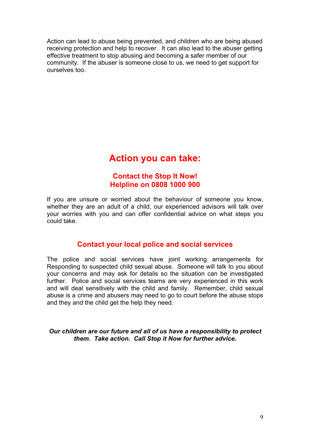Action can lead to abuse being prevented, and children who are being abused receiving protection and help to recover. It can also lead to the abuser getting effective treatment to stop abusing and becoming a safer member of our community. If the abuser is someone close to us, we need to get support for ourselves too.

## **Action you can take:**

### **Contact the Stop It Now! Helpline on 0808 1000 900**

If you are unsure or worried about the behaviour of someone you know, whether they are an adult of a child, our experienced advisors will talk over your worries with you and can offer confidential advice on what steps you could take.

## **Contact your local police and social services**

The police and social services have joint working arrangements for Responding to suspected child sexual abuse. Someone will talk to you about your concerns and may ask for details so the situation can be investigated further. Police and social services teams are very experienced in this work and will deal sensitively with the child and family. Remember, child sexual abuse is a crime and abusers may need to go to court before the abuse stops and they and the child get the help they need.

*Our children are our future and all of us have a responsibility to protect them. Take action. Call Stop it Now for further advice.*